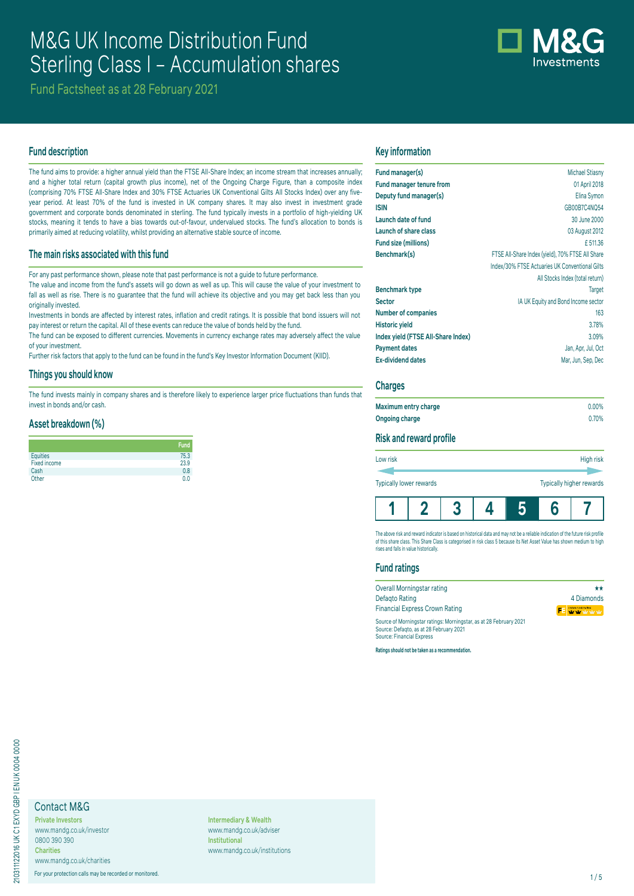# M&G UK Income Distribution Fund Sterling Class I – Accumulation shares



Fund Factsheet as at 28 February 2021

# **Fund description**

The fund aims to provide: a higher annual yield than the FTSE All-Share Index; an income stream that increases annually; and a higher total return (capital growth plus income), net of the Ongoing Charge Figure, than a composite index (comprising 70% FTSE All-Share Index and 30% FTSE Actuaries UK Conventional Gilts All Stocks Index) over any fiveyear period. At least 70% of the fund is invested in UK company shares. It may also invest in investment grade government and corporate bonds denominated in sterling. The fund typically invests in a portfolio of high-yielding UK stocks, meaning it tends to have a bias towards out-of-favour, undervalued stocks. The fund's allocation to bonds is primarily aimed at reducing volatility, whilst providing an alternative stable source of income.

# **The main risks associated with this fund**

For any past performance shown, please note that past performance is not a guide to future performance.

The value and income from the fund's assets will go down as well as up. This will cause the value of your investment to fall as well as rise. There is no guarantee that the fund will achieve its objective and you may get back less than you originally invested.

Investments in bonds are affected by interest rates, inflation and credit ratings. It is possible that bond issuers will not pay interest or return the capital. All of these events can reduce the value of bonds held by the fund.

The fund can be exposed to different currencies. Movements in currency exchange rates may adversely affect the value of your investment.

Further risk factors that apply to the fund can be found in the fund's Key Investor Information Document (KIID).

#### **Things you should know**

The fund invests mainly in company shares and is therefore likely to experience larger price fluctuations than funds that invest in bonds and/or cash.

### **Asset breakdown (%)**

|              | <b>Fund</b> |
|--------------|-------------|
| Equities     | 75.3        |
| Fixed income | 23.9        |
| Cash         | 0.8         |
| Other        | 0.0         |

#### **Key information**

| Fund manager(s)                    | <b>Michael Stiasny</b>                           |
|------------------------------------|--------------------------------------------------|
| <b>Fund manager tenure from</b>    | 01 April 2018                                    |
| Deputy fund manager(s)             | Elina Symon                                      |
| <b>ISIN</b>                        | GB00B7C4NQ54                                     |
| Launch date of fund                | 30 June 2000                                     |
| Launch of share class              | 03 August 2012                                   |
| Fund size (millions)               | £511.36                                          |
| Benchmark(s)                       | FTSE All-Share Index (yield), 70% FTSE All Share |
|                                    | Index/30% FTSE Actuaries UK Conventional Gilts   |
|                                    | All Stocks Index (total return)                  |
| <b>Benchmark type</b>              | <b>Target</b>                                    |
| <b>Sector</b>                      | IA UK Equity and Bond Income sector              |
| <b>Number of companies</b>         | 163                                              |
| <b>Historic yield</b>              | 3.78%                                            |
| Index yield (FTSE All-Share Index) | 3.09%                                            |
| <b>Payment dates</b>               | Jan, Apr, Jul, Oct                               |
| <b>Ex-dividend dates</b>           | Mar, Jun, Sep, Dec                               |
|                                    |                                                  |

#### **Charges**

| Maximum entry charge | $0.00\%$ |
|----------------------|----------|
| Ongoing charge       | 0.70%    |

# **Risk and reward profile**

| Low risk                       |  |  |   | High risk                |
|--------------------------------|--|--|---|--------------------------|
| <b>Typically lower rewards</b> |  |  |   | Typically higher rewards |
|                                |  |  | 6 |                          |

The above risk and reward indicator is based on historical data and may not be a reliable indication of the future risk profile of this share class. This Share Class is categorised in risk class 5 because its Net Asset Value has shown medium to high rises and falls in value historically.

# **Fund ratings**

| Overall Morningstar rating                                                                                    | **                      |
|---------------------------------------------------------------------------------------------------------------|-------------------------|
| Defagto Rating                                                                                                | 4 Diamonds              |
| <b>Financial Express Crown Rating</b>                                                                         | FE <b>WALK WARRANTY</b> |
| Source of Morningstar ratings: Morningstar, as at 28 February 2021<br>Source: Defagto, as at 28 February 2021 |                         |

Source: Defaqto, as at 28 February 2021 Source: Financial Express

**Ratings should not be taken as a recommendation.**

# Contact M&G

**Private Investors** www.mandg.co.uk/investor 0800 390 390 **Charities** www.mandg.co.uk/charities

For your protection calls may be recorded or monitored. 1/5

**Intermediary & Wealth** www.mandg.co.uk/adviser **Institutional** www.mandg.co.uk/institutions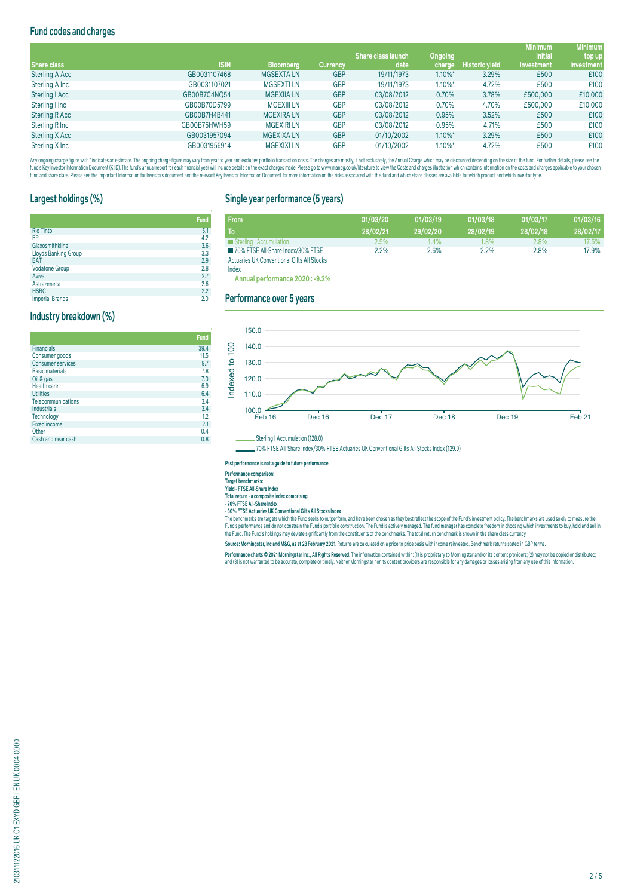# **Fund codes and charges**

|                       |              |                   |                 |                           |            |                       | <b>Minimum</b> | <b>Minimum</b> |
|-----------------------|--------------|-------------------|-----------------|---------------------------|------------|-----------------------|----------------|----------------|
|                       |              |                   |                 | <b>Share class launch</b> | Ongoing    |                       | <i>initial</i> | top up         |
| Share class           | <b>ISIN</b>  | <b>Bloomberg</b>  | <b>Currency</b> | date                      | charge     | <b>Historic yield</b> | investment     | investment     |
| <b>Sterling A Acc</b> | GB0031107468 | <b>MGSEXTALN</b>  | <b>GBP</b>      | 19/11/1973                | $1.10\%$ * | 3.29%                 | £500           | £100           |
| Sterling A Inc        | GB0031107021 | <b>MGSEXTILN</b>  | <b>GBP</b>      | 19/11/1973                | $1.10\%$ * | 4.72%                 | £500           | £100           |
| Sterling   Acc        | GB00B7C4NQ54 | <b>MGEXIIA LN</b> | <b>GBP</b>      | 03/08/2012                | 0.70%      | 3.78%                 | £500,000       | £10,000        |
| Sterling I Inc        | GB00B70D5799 | <b>MGEXIII LN</b> | <b>GBP</b>      | 03/08/2012                | 0.70%      | 4.70%                 | £500,000       | £10,000        |
| <b>Sterling R Acc</b> | GB00B7H4B441 | <b>MGEXIRA LN</b> | <b>GBP</b>      | 03/08/2012                | 0.95%      | 3.52%                 | £500           | £100           |
| Sterling R Inc        | GB00B75HWH59 | <b>MGEXIRILN</b>  | <b>GBP</b>      | 03/08/2012                | 0.95%      | 4.71%                 | £500           | £100           |
| Sterling X Acc        | GB0031957094 | <b>MGEXIXA LN</b> | <b>GBP</b>      | 01/10/2002                | $1.10\%$ * | 3.29%                 | £500           | £100           |
| Sterling X Inc        | GB0031956914 | <b>MGEXIXILN</b>  | <b>GBP</b>      | 01/10/2002                | $1.10\%$ * | 4.72%                 | £500           | £100           |

Any organism and the man and the manual manual manual manual manual manual manual manual manual manual manual manual manual manual manual manual manual manual manual manual manual manual manual manual manual manual manual fund and share class. Please see the Important Information for Investors document and the relevant Key Investor Information Document for more information on the risks associated with this fund and which share classes are a

# **Largest holdings (%)**

**Industry breakdown (%)**

**Industrials** 

Fixed income<br>Other

|                        | <b>Fund</b> |
|------------------------|-------------|
| <b>Rio Tinto</b>       | 5.1         |
| <b>BP</b>              | 4.2         |
| Glaxosmithkline        | 3.6         |
| Lloyds Banking Group   | 3.3         |
| <b>BAT</b>             | 2.9         |
| <b>Vodafone Group</b>  | 2.8         |
| Aviva                  | 2.7         |
| Astrazeneca            | 2.6         |
| <b>HSBC</b>            | 2.2         |
| <b>Imperial Brands</b> | 2.0         |

Financials 39.4 Consumer goods 11.5 Consumer services 9.7 Basic materials 7.8 Oil & gas 7.0<br>Health care 6.9 Utilities 6.4<br>
Utilities 6.4<br>
Telecommunications 6.4 Telecommunications 3.4<br>
Industrials 3.4<br>
Technology 3.4<br>
Technology 3.4

Technology 1.2<br>
Fixed income 2.1<br>
Other 2.4<br>
Other 2.2

Other 0.4 Cash and near cash 0.8

# **Single year performance (5 years)**

| <b>From</b>                                       | 01/03/20 | 01/03/19 | 01/03/18 | 01/03/17 | 01/03/16 |
|---------------------------------------------------|----------|----------|----------|----------|----------|
| To                                                | 28/02/21 | 29/02/20 | 28/02/19 | 28/02/18 | 28/02/17 |
| Sterling   Accumulation                           | $2.5\%$  | 1.4%     | $1.8\%$  | 2.8%     | 17.5%    |
| 70% FTSE All-Share Index/30% FTSE                 | 2.2%     | 2.6%     | 2.2%     | 2.8%     | 17.9%    |
| <b>Actuaries UK Conventional Gilts All Stocks</b> |          |          |          |          |          |

Index

**Fund**

**Annual performance 2020 : -9.2%**

#### **Performance over 5 years**



70% FTSE All-Share Index/30% FTSE Actuaries UK Conventional Gilts All Stocks Index (129.9)

#### **Past performance is not a guide to future performance.**

**Performance comparison:**

**Target benchmarks:**

**Yield - FTSE All-Share Index Total return - a composite index comprising:**

**- 70% FTSE All-Share Index**

**- 30% FTSE Actuaries UK Conventional Gilts All Stocks Index**

The benchmarks are targets which the Fund seeks to outperform, and nave been chosen as they best renect the scope of the Fund s investment policy. The benchmarks are used solely to measure the<br>Fund's performance and do not the Fund. The Fund's holdings may deviate significantly from the constituents of the benchmarks. The total return benchmark is shown in the share class currency.

**Source: Morningstar, Inc and M&G, as at 28 February 2021.** Returns are calculated on a price to price basis with income reinvested. Benchmark returns stated in GBP terms.

rerrormance charts © 2021 morningstar inc., All rights reserved. The information contained within: (1) is proprietary to morningstar and/or its content providers; (2) may not be copied or distributed;<br>and (3) is not warran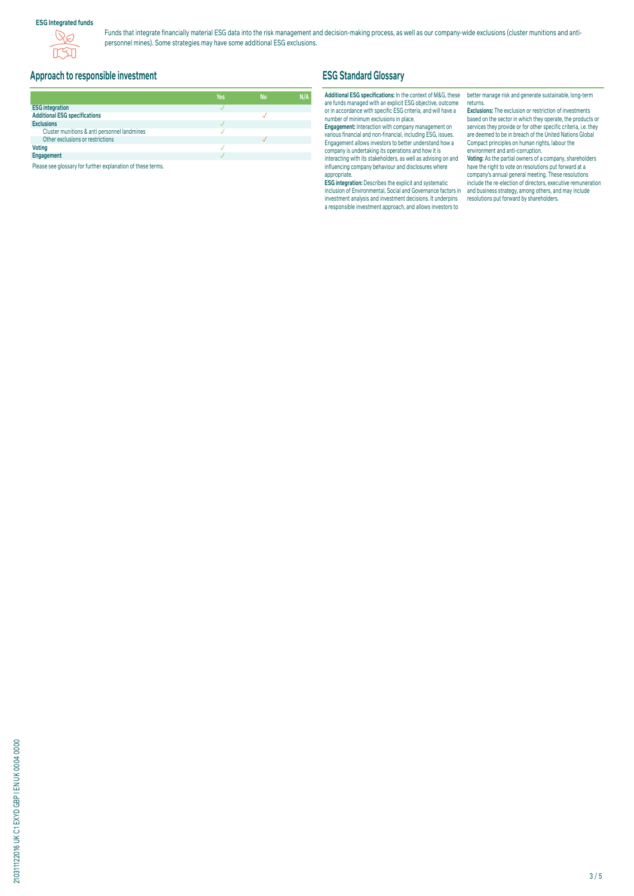# **ESG Integrated funds**



Funds that integrate financially material ESG data into the risk management and decision-making process, as well as our company-wide exclusions (cluster munitions and antipersonnel mines). Some strategies may have some additional ESG exclusions.

# **Approach to responsible investment**

|                                              | Yes | <b>No</b> | N/A |
|----------------------------------------------|-----|-----------|-----|
| <b>ESG integration</b>                       |     |           |     |
| <b>Additional ESG specifications</b>         |     |           |     |
| <b>Exclusions</b>                            |     |           |     |
| Cluster munitions & anti personnel landmines |     |           |     |
| Other exclusions or restrictions             |     |           |     |
| <b>Voting</b>                                |     |           |     |
| Engagement                                   |     |           |     |

Please see glossary for further explanation of these terms.

# **ESG Standard Glossary**

# **Additional ESG specifications:** In the context of M&G, these are funds managed with an explicit ESG objective, outcome or in accordance with specific ESG criteria, and will have a number of minimum exclusions in place.

**Engagement:** Interaction with company management on various financial and non-financial, including ESG, issues. Engagement allows investors to better understand how a company is undertaking its operations and how it is interacting with its stakeholders, as well as advising on and influencing company behaviour and disclosures where appropriate.

**ESG integration:** Describes the explicit and systematic inclusion of Environmental, Social and Governance factors in investment analysis and investment decisions. It underpins a responsible investment approach, and allows investors to

better manage risk and generate sustainable, long-term returns.

**Exclusions:** The exclusion or restriction of investments based on the sector in which they operate, the products or services they provide or for other specific criteria, i.e. they are deemed to be in breach of the United Nations Global Compact principles on human rights, labour the environment and anti-corruption.

**Voting:** As the partial owners of a company, shareholders have the right to vote on resolutions put forward at a company's annual general meeting. These resolutions include the re-election of directors, executive remuneration and business strategy, among others, and may include resolutions put forward by shareholders.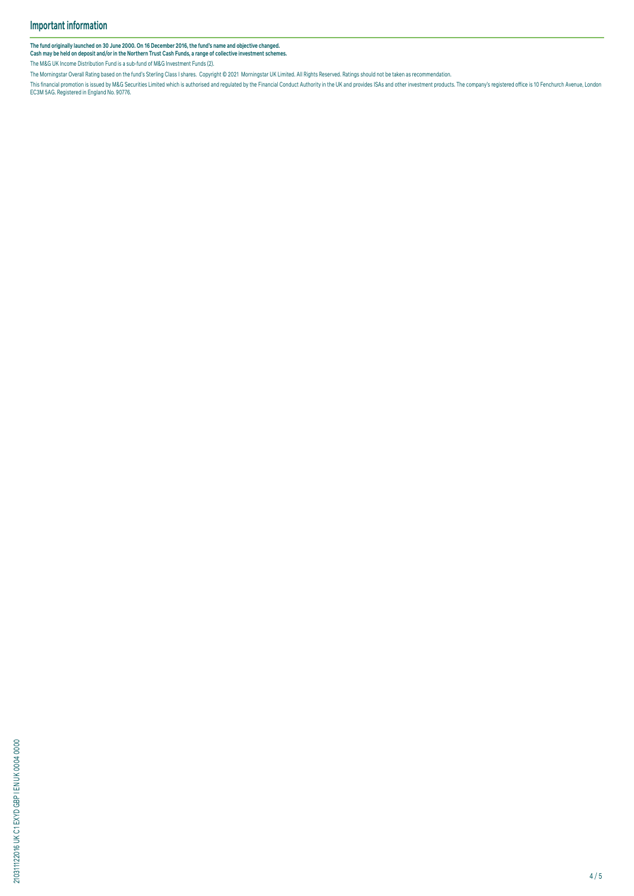The fund originally launched on 30 June 2000. On 16 December 2016, the fund's name and objective changed.<br>Cash may be held on deposit and/or in the Northern Trust Cash Funds, a range of collective investment schemes.

The M&G UK Income Distribution Fund is a sub-fund of M&G Investment Funds (2).

The Morningstar Overall Rating based on the fund's Sterling Class I shares. Copyright © 2021 Morningstar UK Limited. All Rights Reserved. Ratings should not be taken as recommendation.

This financial promotion is issued by M&G Securities Limited which is authorised and regulated by the Financial Conduct Authority in the UK and provides ISAs and other investment products. The company's registered office i